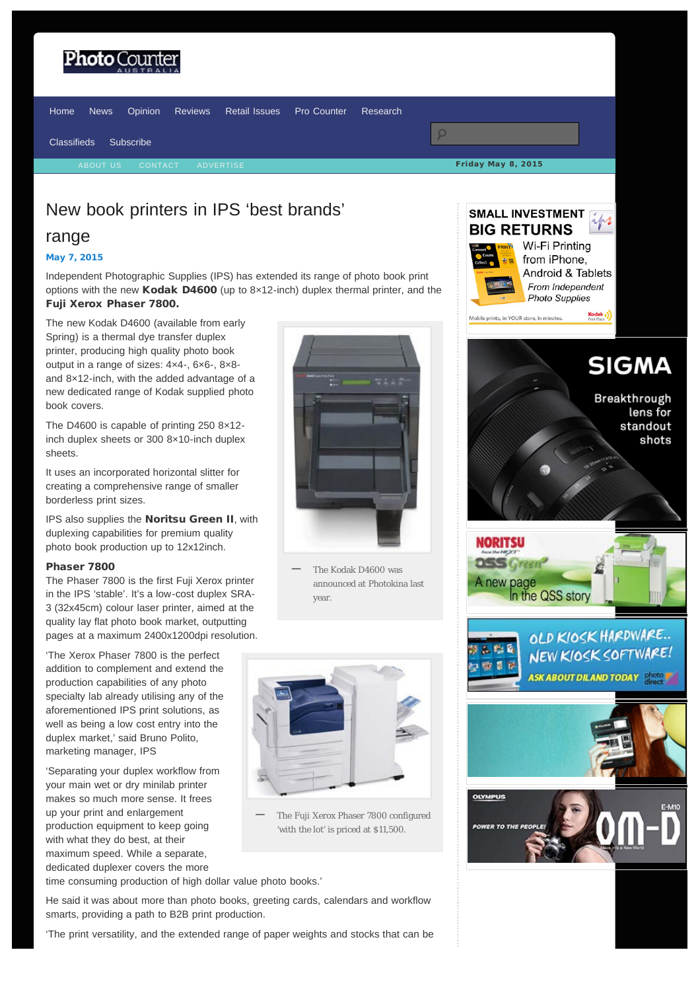# <span id="page-0-0"></span>**Photo** Coun



## New book printers in IPS 'best brands'

## range

### [May 7, 2015](#page-0-0)

Independent Photographic Supplies (IPS) has extended its range of photo book print options with the new Kodak D4600 (up to 8×12-inch) duplex thermal printer, and the Fuji Xerox Phaser 7800.

The new Kodak D4600 (available from early Spring) is a thermal dye transfer duplex printer, producing high quality photo book output in a range of sizes: 4×4-, 6×6-, 8×8 and 8×12-inch, with the added advantage of a new dedicated range of Kodak supplied photo book covers.

The D4600 is capable of printing 250 8×12 inch duplex sheets or 300 8×10-inch duplex sheets.

It uses an incorporated horizontal slitter for creating a comprehensive range of smaller borderless print sizes.

IPS also supplies the Noritsu Green II, with duplexing capabilities for premium quality photo book production up to 12x12inch.

### Phaser 7800

The Phaser 7800 is the first Fuji Xerox printer in the IPS 'stable'. It's a low-cost duplex SRA-3 (32x45cm) colour laser printer, aimed at the quality lay flat photo book market, outputting pages at a maximum 2400x1200dpi resolution.

'The Xerox Phaser 7800 is the perfect addition to complement and extend the production capabilities of any photo specialty lab already utilising any of the aforementioned IPS print solutions, as well as being a low cost entry into the duplex market,' said Bruno Polito, marketing manager, IPS

'Separating your duplex workflow from your main wet or dry minilab printer makes so much more sense. It frees up your print and enlargement production equipment to keep going with what they do best, at their maximum speed. While a separate, dedicated duplexer covers the more



The Kodak D4600 was announced at Photokina last year. **—**



The Fuji Xerox Phaser 7800 configured 'with the lot' is priced at \$11,500. **—**

time consuming production of high dollar value photo books.'

He said it was about more than photo books, greeting cards, calendars and workflow smarts, providing a path to B2B print production.

'The print versatility, and the extended range of paper weights and stocks that can be